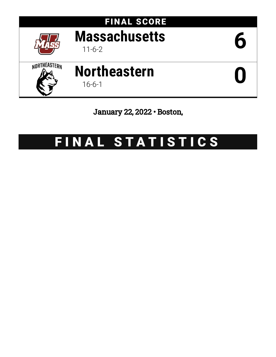

January 22, 2022 • Boston,

# FINAL STATISTICS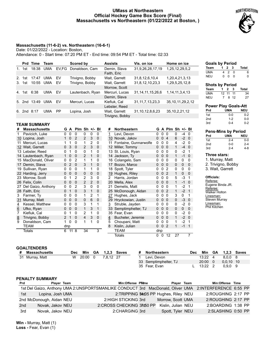#### **UMass at Northeastern Official Hockey Game Box Score (Final) Massachusetts vs Northeastern (01/22/2022 at Boston, )**



#### **Massachusetts (11-6-2) vs. Northeastern (16-6-1)**

Date: 01/22/2022 - Location: Boston,

Attendance: 0 - Start time: 07:20 PM ET - End time: 09:54 PM ET - Total time: 02:33

|    | Prd             | Time  | Team       |           | Scored by        | <b>Assists</b>  | Vis. on ice           | Home on ice           |
|----|-----------------|-------|------------|-----------|------------------|-----------------|-----------------------|-----------------------|
| 1. | 1st             | 18:38 | <b>UMA</b> | EV.FG     | Donaldson, Cam   | Demin, Slava    | 31,9,26,28,17,19      | 1,25,12,29,5,2        |
|    |                 |       |            |           |                  | Faith, Eric     |                       |                       |
| 2. | 1st             | 17:47 | <b>UMA</b> | EV        | Trivigno, Bobby  | Wait, Garrett   | 31,8,12,6,10,4        | 1,20,4,21,3,13        |
| 3. | 1st             | 10:55 | <b>UMA</b> | EV        | Trivigno, Bobby  | Wait, Garrett   | 31,8,12,10,23,3       | 1,29,5,25,12,8        |
|    |                 |       |            |           |                  | Morrow, Scott   |                       |                       |
| 4. | 1st             | 6:38  | <b>UMA</b> | EV        | Lautenbach, Ryan | Mercuri, Lucas  | 31, 14, 11, 15, 26, 6 | 1, 14, 11, 3, 4, 13   |
|    |                 |       |            |           |                  | Demin, Slava    |                       |                       |
| 5. | 2 <sub>nd</sub> | 13:49 | <b>UMA</b> | EV        | Mercuri, Lucas   | Kiefiuk, Cal    | 31, 11, 7, 13, 23, 3  | 35, 10, 11, 29, 2, 12 |
|    |                 |       |            |           |                  | Lebster, Reed   |                       |                       |
| 6. | 2nd             | 8:17  | <b>UMA</b> | <b>PP</b> | Lopina, Josh     | Wait, Garrett   | 31, 10, 12, 8, 6, 23  | 35, 10, 2, 21, 12     |
|    |                 |       |            |           |                  | Trivigno, Bobby |                       |                       |

#### **TEAM SUMMARY**

| <b>Massachusetts</b> | G                                                                                                                                                                                                        |          |                |                |                |             | #               | <b>Northeastern</b>   |                                                                                                                                                                           |              |                |                                                                                  |      |                                           |
|----------------------|----------------------------------------------------------------------------------------------------------------------------------------------------------------------------------------------------------|----------|----------------|----------------|----------------|-------------|-----------------|-----------------------|---------------------------------------------------------------------------------------------------------------------------------------------------------------------------|--------------|----------------|----------------------------------------------------------------------------------|------|-------------------------------------------|
| Pavicich, Luke       | 0                                                                                                                                                                                                        | 0        | 0              | 0              | 0              | 0           | $\mathbf{1}$    | Levi, Devon           | 0                                                                                                                                                                         | $\mathbf{0}$ | $\Omega$       | 0                                                                                | -4   | $\Omega$                                  |
| Lopina, Josh         | 1                                                                                                                                                                                                        | $\Omega$ | $\overline{2}$ | 2              | 3              | $\mathbf 0$ |                 | Novak, Jakov          | $\Omega$                                                                                                                                                                  | $\mathbf{0}$ |                | 6                                                                                | $-2$ | $\overline{0}$                            |
| Mercuri, Lucas       |                                                                                                                                                                                                          |          | 0              | 1              | 2              | 0           |                 | Fontaine, Gunnarwolfe | 0                                                                                                                                                                         | 0            | $\Omega$       | 4                                                                                |      |                                           |
|                      | $\Omega$                                                                                                                                                                                                 | 3        | $\Omega$       | 2              | 3              | $\mathbf 0$ |                 |                       | $\Omega$                                                                                                                                                                  | $\Omega$     | $\Omega$       | 1                                                                                | $-4$ | $\Omega$                                  |
|                      | 0                                                                                                                                                                                                        |          | 0              | 0              | 1              | 0           |                 |                       | 0                                                                                                                                                                         | 0            | $\Omega$       | 0                                                                                | $-2$ | 1                                         |
|                      | 1                                                                                                                                                                                                        | $\Omega$ | 0              | 2              | 1              | 0           |                 |                       | 0                                                                                                                                                                         | $\mathbf{0}$ | $\Omega$       | 1                                                                                | $-1$ | $\Omega$                                  |
|                      | 0                                                                                                                                                                                                        | 0        | 2              | 1              | 1              | 0           |                 |                       |                                                                                                                                                                           | 0            | $\Omega$       | 0                                                                                | 0    | 0                                         |
| Demin, Slava         | $\Omega$                                                                                                                                                                                                 | 2        | 0              | 3              | 1              | $\mathbf 0$ |                 |                       | 0                                                                                                                                                                         | $\Omega$     | $\Omega$       | $\Omega$                                                                         | 0    | $\mathbf 0$                               |
|                      | 0                                                                                                                                                                                                        | 0        | $\Omega$       | 1              | 1              | 0           |                 | Spott, Tyler          |                                                                                                                                                                           | 0            | 2              | 0                                                                                | 0    | 0                                         |
|                      | 0                                                                                                                                                                                                        | $\Omega$ | $\mathbf 0$    | $\Omega$       | $\mathbf 0$    | $\mathbf 0$ |                 | Hughes, Riley         | $\Omega$                                                                                                                                                                  | $\Omega$     | $\overline{2}$ | 1                                                                                | 0    | $\Omega$                                  |
|                      | 0                                                                                                                                                                                                        |          | $\overline{2}$ | $\overline{2}$ | 3              | $\Omega$    | 2               | Harris, Jordan        |                                                                                                                                                                           | 0            | $\Omega$       | 5                                                                                | $-3$ | $\mathbf 1$                               |
|                      | $\Omega$                                                                                                                                                                                                 | $\Omega$ | $\Omega$       | 2              | 2              | $\mathbf 0$ |                 | Mella, Alex           | $\Omega$                                                                                                                                                                  | $\Omega$     |                | 1                                                                                | $-1$ | $\Omega$                                  |
| Del Gaizo, Anthony   | 0                                                                                                                                                                                                        | 0        | $\overline{2}$ | 3              | 0              | 0           | 21              | Demelis, Matt         | ŋ                                                                                                                                                                         | n            | $\Omega$       | 1                                                                                | $-2$ | -1                                        |
|                      | 0                                                                                                                                                                                                        |          | 0              | 3              | 1              | $\mathbf 0$ |                 | McDonough, Aidan      | 0                                                                                                                                                                         | $\Omega$     | $\overline{2}$ | 1                                                                                | $-2$ | $\overline{\mathbf{1}}$                   |
| Farmer, Ty           | 0                                                                                                                                                                                                        | 0        | 0              | 1              | $\overline{2}$ | 1           |                 | Hughes, Jack          | 0                                                                                                                                                                         | 0            | $\Omega$       | 3                                                                                | 0    |                                           |
| Murray, Matt         | $\Omega$                                                                                                                                                                                                 | $\Omega$ | $\Omega$       | $\mathbf 0$    | 6              | 0           |                 | Hryckowian, Justin    | $\Omega$                                                                                                                                                                  | $\Omega$     |                | 0                                                                                | -3   | $\Omega$                                  |
| Kessel, Matthew      | 0                                                                                                                                                                                                        | 0        | $\Omega$       | 3              | 1              | 1           | 3               | Struble, Jayden       | 0                                                                                                                                                                         | 0            | $\Omega$       | 0                                                                                | $-2$ | $\Omega$                                  |
| Ufko, Ryan           | 0                                                                                                                                                                                                        | 0        | $\mathbf 0$    | $\mathbf{1}$   | 3              | 1           |                 | Semptimphelter, TJ    | 0                                                                                                                                                                         | $\Omega$     |                | 0                                                                                | 0    | $\mathbf 0$                               |
| Kiefiuk, Cal         | 0                                                                                                                                                                                                        |          | 0              | $\overline{2}$ | 1              | $\Omega$    |                 | Fear. Evan            | 0                                                                                                                                                                         | 0            | $\Omega$       | 0                                                                                | $-2$ | $\Omega$                                  |
| Trivigno, Bobby      | 2                                                                                                                                                                                                        |          | $\mathbf 0$    | $\overline{4}$ | 3              | $\mathbf 0$ | 4               | Bucheler, Jeremie     | $\mathbf{0}$                                                                                                                                                              |              |                | 1                                                                                |      |                                           |
| Donaldson, Cam       | 1                                                                                                                                                                                                        | $\Omega$ | 0              | 1              | 1              | $\Omega$    | 5               | Choupani, Matt        | 0                                                                                                                                                                         | 0            | $\Omega$       | 1                                                                                | $-2$ | $\overline{1}$                            |
| TEAM                 |                                                                                                                                                                                                          |          |                |                |                |             | 8               | Kislin, Julian        | $\Omega$                                                                                                                                                                  | $\Omega$     | $\overline{2}$ | 1                                                                                | $-1$ | $\overline{1}$                            |
| Totals               | 6                                                                                                                                                                                                        |          | 8              | 34             |                | 3           |                 | TEAM                  |                                                                                                                                                                           |              |                |                                                                                  |      |                                           |
|                      |                                                                                                                                                                                                          |          |                |                |                |             |                 | Totals                | 0                                                                                                                                                                         | 0            | 12             | 27                                                                               |      | $\overline{7}$                            |
|                      | 10<br>12 Wait, Garrett<br>13 Lebster, Reed<br>14 Lautenbach, Ryan<br>15 MacDonald, Oliver<br>17<br>19 Sullivan, Ryan<br>22 Harding, Jerry<br>23 Morrow, Scott<br>26 Felix, Colin<br>27<br>28 Faith, Eric |          | dnp            | A<br>11        |                |             | Plm $Sh +/- BI$ |                       | 10 <sup>°</sup><br>11<br>12 Miller, Tommy<br>13 St. Louis, Ryan<br>14 Jackson, Ty<br>16 Colangelo, Sam<br>17 Bozzo, Marco<br>18<br>19<br>20<br>25<br>27<br>29<br>33<br>35 |              | dnp            | $\overline{4}$<br>$\overline{0}$<br>$\overline{0}$<br>$\Omega$<br>0 <sub>0</sub> |      | G A Plm Sh +/- Bl<br>$-2 \ 0$<br>$-2 \ 0$ |

| <b>Goals by Period</b> |   |                     |          |       |
|------------------------|---|---------------------|----------|-------|
| Team                   |   | $1 \quad 2 \quad 3$ |          | Total |
| <b>UMA</b>             |   | 42                  | - റ      | 6     |
| <b>NEU</b>             | 0 | $\Omega$            | $\Omega$ | O     |
|                        |   |                     |          |       |

÷

| <b>Shots by Period</b> |  |          |      |       |  |  |  |
|------------------------|--|----------|------|-------|--|--|--|
| Team                   |  | 1 2 3    |      | Total |  |  |  |
| UMA                    |  | 12 11 11 |      | 34    |  |  |  |
| NEU                    |  |          | 8 12 | 27    |  |  |  |

| <b>Power Play Goals-Att</b> |         |         |  |  |  |  |  |
|-----------------------------|---------|---------|--|--|--|--|--|
| Prd                         | UMA     | NEU     |  |  |  |  |  |
| 1st                         | $0 - 0$ | $0 - 2$ |  |  |  |  |  |
| 2 <sub>nd</sub>             | $1-2$   | $0 - 0$ |  |  |  |  |  |
| 3rd                         | $0 - 4$ | $0 - 2$ |  |  |  |  |  |

# **Pens-Mins by Period**

| Prd             | UMA     | NEU     |
|-----------------|---------|---------|
| 1st             | $2 - 4$ | $0 - 0$ |
| 2 <sub>nd</sub> | ი-ი     | $2 - 4$ |
| 3rd             | $2 - 4$ | 4-8     |

# **Three stars:**

1. Murray, Matt 2. Trivigno, Bobby 3. Wait, Garrett

#### **Officials:**

Referee: Eugene Binda JR. Referee: Walker Holton Linesman: Steven Murray Linesman: Phil Kitchen

#### **GOALTENDERS**

| Massachusetts   | Dec |           |           | Min GA 1,2,3 Saves | # Northeastern        | <b>Dec</b> |                 | Min GA 1,2,3 Saves |  |
|-----------------|-----|-----------|-----------|--------------------|-----------------------|------------|-----------------|--------------------|--|
| 31 Murray, Matt |     | W 20:00 0 | 7.8.12 27 |                    | Levi. Devon           |            | $13:22$ 4       | 8.0.08             |  |
|                 |     |           |           |                    | 33 Semptimphelter, TJ |            | $20:00 \quad 0$ | $0.0.10$ 10        |  |
|                 |     |           |           |                    | 35 Fear. Evan         |            | 13:22           | $0.9.0$ 9          |  |

#### **PENALTY SUMMARY**

| Prd | Player Team              |                                                                                                         | Min:Offense Präme                     |  |                    | Player Team      | Min:Offense Time   |  |
|-----|--------------------------|---------------------------------------------------------------------------------------------------------|---------------------------------------|--|--------------------|------------------|--------------------|--|
|     |                          | 1st Del Gaizo, Anthony UMA 2: UNSPORTSMANLIKE CONDUCT 3rd MacDonald, Oliver UMA 2: INTERFERENCE 6:55 PP |                                       |  |                    |                  |                    |  |
| 1st | Lopina, Josh UMA         |                                                                                                         | 2:TRIPPING 34d05 PP Hughes, Riley NEU |  |                    |                  | 2:ROUGHING 2:17 PP |  |
|     | 2nd McDonough, Aidan NEU | 2:HIGH STICKING 3rd                                                                                     |                                       |  | Morrow. Scott UMA  |                  | 2:ROUGHING 2:17 PP |  |
| 2nd | Novak, Jakov NEU         | 2: CROSS CHECKING 37d50 PP                                                                              |                                       |  | Kislin, Julian NEU |                  | 2:BOARDING 1:38 PP |  |
| 3rd | Novak, Jakov NEU         |                                                                                                         | 2:CHARGING 3rd                        |  |                    | Spott, Tyler NEU | 2:SLASHING 0:50 PP |  |

**Win -** Murray, Matt (1) **Loss -** Fear, Evan (1)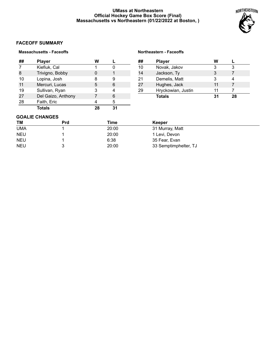# **UMass at Northeastern Official Hockey Game Box Score (Final) Massachusetts vs Northeastern (01/22/2022 at Boston, )**

**Northeastern - Faceoffs**



# **FACEOFF SUMMARY**

# **Massachusetts - Faceoffs**

| ## | <b>Player</b>      | w  |   |  |
|----|--------------------|----|---|--|
| 7  | Kiefiuk, Cal       |    |   |  |
| 8  | Trivigno, Bobby    |    |   |  |
| 10 | Lopina, Josh       | 8  | 9 |  |
| 11 | Mercuri, Lucas     | 5  | 6 |  |
| 19 | Sullivan, Ryan     | 3  |   |  |
| 27 | Del Gaizo, Anthony |    | 6 |  |
| 28 | Faith, Eric        |    | 5 |  |
|    | Totals             | 78 |   |  |

| ## | <b>Player</b>      | w  |    |
|----|--------------------|----|----|
| 10 | Novak, Jakov       | 3  |    |
| 14 | Jackson, Ty        | 3  |    |
| 21 | Demelis, Matt      | 3  |    |
| 27 | Hughes, Jack       | 11 |    |
| 29 | Hryckowian, Justin | 11 |    |
|    | <b>Totals</b>      | 31 | 28 |

# **GOALIE CHANGES**

| <b>TM</b>  | <b>Prd</b> | Time  | Keeper                |  |
|------------|------------|-------|-----------------------|--|
| <b>UMA</b> |            | 20:00 | 31 Murray, Matt       |  |
| <b>NEU</b> |            | 20:00 | 1 Levi, Devon         |  |
| <b>NEU</b> |            | 6:38  | 35 Fear, Evan         |  |
| <b>NEU</b> |            | 20:00 | 33 Semptimphelter, TJ |  |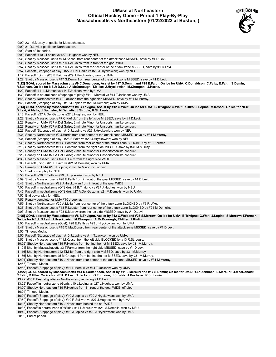### **UMass at Northeastern Official Hockey Game - Period 1 Play-By-Play Massachusetts vs Northeastern (01/22/2022 at Boston, )**



| [0:00] #31 M.Murray at goalie for Massachusetts.                                                                                                                                                                                                             |
|--------------------------------------------------------------------------------------------------------------------------------------------------------------------------------------------------------------------------------------------------------------|
| [0:00] #1 D.Levi at goalie for Northeastern.                                                                                                                                                                                                                 |
| [0:00] Start of 1st period.                                                                                                                                                                                                                                  |
| [0:00] Faceoff: #10 J.Lopina vs #27 J.Hughes; won by NEU.                                                                                                                                                                                                    |
| [0:31] Shot by Massachusetts #4 M.Kessel from rear center of the attack zone MISSED, save by #1 D.Levi.                                                                                                                                                      |
| [0:36] Shot by Massachusetts #27 A.Del Gaizo from in front of the goal WIDE.                                                                                                                                                                                 |
| [0:57] Shot by Massachusetts #27 A.Del Gaizo from rear center of the attack zone MISSED, save by #1 D.Levi.                                                                                                                                                  |
| [0:57] Faceoff (Stoppage of play): #27 A.Del Gaizo vs #29 J.Hryckowian; won by NEU.                                                                                                                                                                          |
| [1:17] Faceoff (Icing): #28 E.Faith vs #29 J.Hryckowian; won by UMA.                                                                                                                                                                                         |
| [1:22] Shot by Massachusetts #17 S.Demin from rear center of the attack zone MISSED, save by #1 D.Levi.                                                                                                                                                      |
| [1:22] GOAL scored by Massachusetts #9 C.Donaldson, Assist by #17 S.Demin and #28 E.Faith; On ice for UMA: C.Donaldson; C.Felix; E.Faith; S.Demin;<br>R.Sullivan. On ice for NEU: D.Levi; A.McDonough; T.Miller; J.Hryckowian; M.Choupani; J.Harris.         |
| [1:22] Faceoff: #11 L.Mercuri vs #14 T.Jackson; won by UMA.<br>[1:30] Faceoff in neutral zone (Stoppage of play): #11 L.Mercuri vs #14 T.Jackson; won by UMA.                                                                                                |
| [1:48] Shot by Northeastern #14 T.Jackson from the right side MISSED, save by #31 M.Murray.                                                                                                                                                                  |
| [1:48] Faceoff (Stoppage of play): #10 J.Lopina vs #21 M.Demelis; won by UMA.                                                                                                                                                                                |
| [2:13] GOAL scored by Massachusetts #8 B.Trivigno, Assist by #12 G.Wait; On ice for UMA: B.Trivigno; G.Wait; R.Ufko; J.Lopina; M.Kessel. On ice for NEU:<br>D.Levi; A.Mella; J.Bucheler; M.Demelis; J.Struble; R.St. Louis.                                  |
| [2:13] Faceoff: #27 A.Del Gaizo vs #27 J.Hughes; won by NEU.                                                                                                                                                                                                 |
| [2:22] Shot by Massachusetts #7 C.Kiefiuk from the left side MISSED, save by #1 D.Levi.                                                                                                                                                                      |
| [2:23] Penalty on UMA #27 A.Del Gaizo; 2 minute Minor for Unsportsmanlike conduct.                                                                                                                                                                           |
| [2:23] Penalty on UMA #27 A.Del Gaizo; 2 minute Minor for Unsportsmanlike conduct.                                                                                                                                                                           |
| [2:23] Faceoff (Stoppage of play): #10 J.Lopina vs #29 J.Hryckowian; won by NEU.                                                                                                                                                                             |
| [2:34] Shot by Northeastern #2 J.Harris from rear center of the attack zone MISSED, save by #31 M.Murray.                                                                                                                                                    |
| [2:34] Faceoff (Stoppage of play): #28 E.Faith vs #29 J.Hryckowian; won by NEU.                                                                                                                                                                              |
| [2:39] Shot by Northeastern #11 G.Fontaine from rear center of the attack zone BLOCKED by #3 T.Farmer.                                                                                                                                                       |
| [3:18] Shot by Northeastern #11 G.Fontaine from the right side MISSED, save by #31 M.Murray.                                                                                                                                                                 |
| [2:23] Penalty on UMA #27 A.Del Gaizo; 2 minute Minor for Unsportsmanlike conduct.                                                                                                                                                                           |
| [2:23] Penalty on UMA #27 A.Del Gaizo; 2 minute Minor for Unsportsmanlike conduct.                                                                                                                                                                           |
| [4:36] Shot by Massachusetts #26 C.Felix from the right side WIDE.                                                                                                                                                                                           |
| [5:03] Faceoff (Icing): #28 E.Faith vs #21 M.Demelis; won by UMA.                                                                                                                                                                                            |
| [5:55] Penalty on UMA #10 J.Lopina; 2 minute Minor for Tripping.                                                                                                                                                                                             |
| [5:55] Start power play for NEU.                                                                                                                                                                                                                             |
| [5:55] Faceoff: #28 E.Faith vs #29 J.Hryckowian; won by NEU.<br>[6:09] Shot by Massachusetts #28 E.Faith from in front of the goal MISSED, save by #1 D.Levi.                                                                                                |
| [6:48] Shot by Northeastern #29 J.Hryckowian from in front of the goal WIDE.                                                                                                                                                                                 |
| [7:05] Faceoff in neutral zone (OffSide): #8 B.Trivigno vs #27 J.Hughes; won by NEU.                                                                                                                                                                         |
| [7:46] Faceoff in neutral zone (OffSide): #27 A.Del Gaizo vs #21 M.Demelis; won by UMA.                                                                                                                                                                      |
| [7:55] End power play for NEU.                                                                                                                                                                                                                               |
| [7:55] Penalty complete for UMA #10 J.Lopina.                                                                                                                                                                                                                |
| [7:59] Shot by Northeastern #20 A.Mella from rear center of the attack zone BLOCKED by #6 R.Ufko.                                                                                                                                                            |
| [8:35] Shot by Massachusetts #13 R.Lebster from rear center of the attack zone BLOCKED by #21 M.Demelis.                                                                                                                                                     |
| [9:03] Shot by Massachusetts #23 S.Morrow from the left side MISSED, save by #1 D.Levi.                                                                                                                                                                      |
| [9:05] GOAL scored by Massachusetts #8 B.Trivigno, Assist by #12 G.Wait and #23 S.Morrow; On ice for UMA: B.Trivigno; G.Wait; J.Lopina; S.Morrow; T.Farmer.<br>On ice for NEU: D.Levi; J.Hryckowian; M.Choupani; A.McDonough; T.Miller; J.Kislin.            |
| [9:05] Faceoff in neutral zone (Goal): #28 E.Faith vs #29 J.Hryckowian; won by UMA.                                                                                                                                                                          |
| [9:47] Shot by Massachusetts #15 O.MacDonald from rear center of the attack zone MISSED, save by #1 D.Levi.                                                                                                                                                  |
| [9:50] Timeout Media.                                                                                                                                                                                                                                        |
| [9:50] Faceoff (Stoppage of play): #10 J.Lopina vs #14 T.Jackson; won by UMA.                                                                                                                                                                                |
| [9:55] Shot by Massachusetts #4 M.Kessel from the left side BLOCKED by #13 R.St. Louis.                                                                                                                                                                      |
| [10:02] Shot by Northeastern #19 R.Hughes from behind the net MISSED, save by #31 M.Murray.                                                                                                                                                                  |
| [11:01] Shot by Massachusetts #3 T.Farmer from the right side MISSED, save by #1 D.Levi.                                                                                                                                                                     |
| [11:16] Shot by Northeastern #12 T.Miller from the right side MISSED, save by #31 M.Murray.                                                                                                                                                                  |
| [11:56] Shot by Northeastern #5 M.Choupani from behind the net MISSED, save by #31 M.Murray.                                                                                                                                                                 |
| [12:01] Shot by Northeastern #10 J.Novak from rear center of the attack zone MISSED, save by #31 M.Murray.                                                                                                                                                   |
| [12:58] Timeout Media.                                                                                                                                                                                                                                       |
| [12:58] Faceoff (Stoppage of play): #11 L.Mercuri vs #14 T.Jackson; won by UMA.                                                                                                                                                                              |
| [13:22] GOAL scored by Massachusetts #14 R.Lautenbach, Assist by #11 L.Mercuri and #17 S.Demin; On ice for UMA: R.Lautenbach; L.Mercuri; O.MacDonald;<br>C.Felix; R.Ufko. On ice for NEU: D.Levi; T.Jackson; G.Fontaine; J.Struble; J.Bucheler; R.St. Louis. |
| [13:22] #35 E.Fear at goalie for Northeastern, replacing #1 D.Levi.                                                                                                                                                                                          |
| [13:22] Faceoff in neutral zone (Goal): #10 J.Lopina vs #27 J.Hughes; won by UMA.                                                                                                                                                                            |
| [14:00] Shot by Northeastern #19 R.Hughes from in front of the goal WIDE, off pipe.                                                                                                                                                                          |
| [16:04] Timeout Media.                                                                                                                                                                                                                                       |
| [16:04] Faceoff (Stoppage of play): #10 J.Lopina vs #29 J.Hryckowian; won by UMA.                                                                                                                                                                            |
| [17:50] Faceoff (Stoppage of play): #19 R.Sullivan vs #27 J.Hughes; won by UMA.<br>[18:18] Shot by Northeastern #10 J.Novak from behind the net WIDE.                                                                                                        |
| [18:35] Faceoff in neutral zone (OffSide): #11 L.Mercuri vs #21 M.Demelis; won by NEU.                                                                                                                                                                       |
| [19:42] Faceoff (Stoppage of play): #10 J.Lopina vs #29 J.Hryckowian; won by UMA.                                                                                                                                                                            |
| [20:00] End of period.                                                                                                                                                                                                                                       |
|                                                                                                                                                                                                                                                              |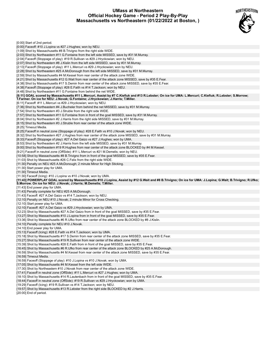### **UMass at Northeastern Official Hockey Game - Period 2 Play-By-Play Massachusetts vs Northeastern (01/22/2022 at Boston, )**



| [0:00] Start of 2nd period.                                                                                                                                |
|------------------------------------------------------------------------------------------------------------------------------------------------------------|
| [0:00] Faceoff: #10 J.Lopina vs #27 J.Hughes; won by NEU.                                                                                                  |
| [1:09] Shot by Massachusetts #8 B. Trivigno from the right side WIDE.                                                                                      |
| [2:03] Shot by Northeastern #11 G. Fontaine from the left side MISSED, save by #31 M. Murray.                                                              |
| [2:04] Faceoff (Stoppage of play): #19 R.Sullivan vs #29 J.Hryckowian; won by NEU.                                                                         |
|                                                                                                                                                            |
| [2:07] Shot by Northeastern #8 J.Kislin from the left side MISSED, save by #31 M.Murray.                                                                   |
| [2:13] Faceoff (Stoppage of play): #11 L.Mercuri vs #29 J.Hryckowian; won by NEU.                                                                          |
| [2:28] Shot by Northeastern #25 A.McDonough from the left side MISSED, save by #31 M.Murray.                                                               |
| [2:59] Shot by Massachusetts #4 M.Kessel from rear center of the attack zone WIDE.                                                                         |
| [4:21] Shot by Massachusetts #12 G. Wait from rear center of the attack zone MISSED, save by #35 E. Fear.                                                  |
| [4:38] Shot by Massachusetts #17 S.Demin from rear center of the attack zone MISSED, save by #35 E.Fear.                                                   |
| [4:38] Faceoff (Stoppage of play): #28 E.Faith vs #14 T.Jackson; won by NEU.                                                                               |
| [4:48] Shot by Northeastern #11 G. Fontaine from behind the net WIDE.                                                                                      |
| [6:11] GOAL scored by Massachusetts #11 L.Mercuri, Assist by #7 C.Kiefiuk and #13 R.Lebster; On ice for UMA: L.Mercuri; C.Kiefiuk; R.Lebster; S.Morrow;    |
| T.Farmer. On ice for NEU: J.Novak; G.Fontaine; J.Hryckowian; J.Harris; T.Miller.                                                                           |
| [6:11] Faceoff: #11 L.Mercuri vs #29 J.Hryckowian; won by NEU.                                                                                             |
| [7:36] Shot by Northeastern #4 J.Bucheler from behind the net MISSED, save by #31 M.Murray.                                                                |
| [7:54] Shot by Northeastern #3 J. Struble from the right side WIDE.                                                                                        |
|                                                                                                                                                            |
| [7:57] Shot by Northeastern #11 G.Fontaine from in front of the goal MISSED, save by #31 M.Murray.                                                         |
| [8:04] Shot by Northeastern #2 J.Harris from the right side MISSED, save by #31 M.Murray.                                                                  |
| [8:15] Shot by Northeastern #3 J. Struble from rear center of the attack zone WIDE.                                                                        |
| [8:25] Timeout Media.                                                                                                                                      |
| [8:25] Faceoff in neutral zone (Stoppage of play): #28 E.Faith vs #10 J.Novak; won by NEU.                                                                 |
| [8:32] Shot by Northeastern #27 J.Hughes from rear center of the attack zone MISSED, save by #31 M.Murray.                                                 |
| [8:33] Faceoff (Stoppage of play): #27 A.Del Gaizo vs #27 J.Hughes; won by UMA.                                                                            |
| [8:53] Shot by Northeastern #2 J.Harris from the left side MISSED, save by #31 M.Murray.                                                                   |
| [9:00] Shot by Northeastern #19 R.Hughes from rear center of the attack zone BLOCKED by #4 M.Kessel.                                                       |
| [9:21] Faceoff in neutral zone (OffSide): #11 L.Mercuri vs #21 M.Demelis; won by NEU.                                                                      |
| [10:58] Shot by Massachusetts #8 B. Trivigno from in front of the goal MISSED, save by #35 E. Fear.                                                        |
| [11:03] Shot by Massachusetts #26 C. Felix from the right side WIDE.                                                                                       |
| [11:30] Penalty on NEU #25 A.McDonough; 2 minute Minor for High Sticking.                                                                                  |
|                                                                                                                                                            |
| [11:30] Start power play for UMA.                                                                                                                          |
|                                                                                                                                                            |
| [11:30] Timeout Media.                                                                                                                                     |
| [11:30] Faceoff (Icing): #10 J. Lopina vs #10 J. Novak; won by UMA.                                                                                        |
| [11:43] POWERPLAY GOAL scored by Massachusetts #10 J.Lopina, Assist by #12 G.Wait and #8 B.Trivigno; On ice for UMA: J.Lopina; G.Wait; B.Trivigno; R.Ufko; |
| S.Morrow. On ice for NEU: J.Novak; J.Harris; M.Demelis; T.Miller.                                                                                          |
| [11:43] End power play for UMA.                                                                                                                            |
| [11:43] Penalty complete for NEU #25 A.McDonough.                                                                                                          |
| [11:43] Faceoff: #27 A.Del Gaizo vs #14 T.Jackson; won by NEU.                                                                                             |
| [12:10] Penalty on NEU #10 J. Novak; 2 minute Minor for Cross Checking.                                                                                    |
| [12:10] Start power play for UMA.                                                                                                                          |
|                                                                                                                                                            |
| [12:10] Faceoff: #27 A.Del Gaizo vs #29 J.Hryckowian; won by UMA.                                                                                          |
| [12:23] Shot by Massachusetts #27 A.Del Gaizo from in front of the goal MISSED, save by #35 E.Fear.                                                        |
| [13:27] Shot by Massachusetts #10 J.Lopina from in front of the goal MISSED, save by #35 E.Fear.                                                           |
| [13:36] Shot by Massachusetts #6 R.Ufko from rear center of the attack zone BLOCKED by #8 J.Kislin.                                                        |
| [14:10] Penalty complete for NEU #10 J. Novak.                                                                                                             |
| [14:10] End power play for UMA.                                                                                                                            |
| [15:13] Faceoff (Icing): #28 E. Faith vs #14 T. Jackson; won by UMA.                                                                                       |
| [15:18] Shot by Massachusetts #17 S.Demin from rear center of the attack zone MISSED, save by #35 E.Fear.                                                  |
| [15:27] Shot by Massachusetts #19 R.Sullivan from rear center of the attack zone WIDE.                                                                     |
| [15:39] Shot by Massachusetts #28 E.Faith from in front of the goal MISSED, save by #35 E.Fear.                                                            |
| [16:45] Shot by Massachusetts #6 R.Ufko from rear center of the attack zone BLOCKED by #25 A.McDonough.                                                    |
| [16:59] Shot by Massachusetts #4 M.Kessel from rear center of the attack zone MISSED, save by #35 E.Fear.                                                  |
| [16:59] Timeout Media.                                                                                                                                     |
| [16:59] Faceoff (Stoppage of play): #10 J. Lopina vs #10 J. Novak; won by UMA.                                                                             |
|                                                                                                                                                            |
| [17:05] Shot by Massachusetts #4 M.Kessel from the left side WIDE.                                                                                         |
| [17:30] Shot by Northeastern #10 J. Novak from rear center of the attack zone WIDE.                                                                        |
| [17:41] Faceoff in neutral zone (OffSide): #11 L.Mercuri vs #27 J.Hughes; won by UMA.                                                                      |
| [18:10] Shot by Massachusetts #14 R.Lautenbach from in front of the goal MISSED, save by #35 E.Fear.                                                       |
| [18:44] Faceoff in neutral zone (OffSide): #19 R.Sullivan vs #29 J.Hryckowian; won by UMA.                                                                 |
| [19:29] Faceoff (Icing): #19 R.Sullivan vs #14 T. Jackson; won by NEU.                                                                                     |
| [19:57] Shot by Massachusetts #13 R.Lebster from the right side BLOCKED by #2 J.Harris.<br>$[00.00]$ End of pariad                                         |

[20:00] End of period.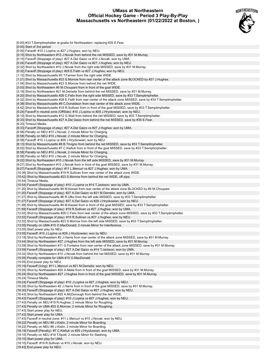# **UMass at Northeastern Official Hockey Game - Period 3 Play-By-Play Massachusetts vs Northeastern (01/22/2022 at Boston, )**



| [0:00] #33 T.Semptimphelter at goalie for Northeastern, replacing #35 E.Fear.                                                                                                                      |  |
|----------------------------------------------------------------------------------------------------------------------------------------------------------------------------------------------------|--|
| [0:00] Start of 3rd period.                                                                                                                                                                        |  |
| [0:00] Faceoff: #10 J.Lopina vs #27 J.Hughes; won by NEU.                                                                                                                                          |  |
| [0:15] Shot by Northeastern #10 J.Novak from behind the net MISSED, save by #31 M.Murray.                                                                                                          |  |
| [0:15] Faceoff (Stoppage of play): #27 A.Del Gaizo vs #10 J.Novak; won by UMA.                                                                                                                     |  |
| [0:24] Faceoff (Stoppage of play): #27 A.Del Gaizo vs #27 J.Hughes; won by NEU.                                                                                                                    |  |
| [0:32] Shot by Northeastern #10 J.Novak from the right side MISSED, save by #31 M.Murray.                                                                                                          |  |
| [0:32] Faceoff (Stoppage of play): #28 E. Faith vs #27 J. Hughes; won by NEU.                                                                                                                      |  |
| [1:12] Shot by Massachusetts #3 T. Farmer from the right side WIDE.                                                                                                                                |  |
| [1:21] Shot by Massachusetts #23 S.Morrow from rear center of the attack zone BLOCKED by #27 J.Hughes.<br>[1:54] Shot by Massachusetts #23 S.Morrow from behind the net WIDE.                      |  |
| [3:03] Shot by Northeastern #5 M.Choupani from in front of the goal WIDE.                                                                                                                          |  |
| [3:18] Shot by Northeastern #21 M.Demelis from behind the net MISSED, save by #31 M.Murray.                                                                                                        |  |
| [4:20] Shot by Massachusetts #26 C.Felix from the right side MISSED, save by #33 T.Semptimphelter.                                                                                                 |  |
| [4:32] Shot by Massachusetts #28 E.Faith from rear center of the attack zone MISSED, save by #33 T.Semptimphelter.                                                                                 |  |
| [4:38] Shot by Massachusetts #9 C.Donaldson from rear center of the attack zone WIDE.                                                                                                              |  |
| [4:42] Shot by Massachusetts #19 R.Sullivan from in front of the goal MISSED, save by #33 T.Semptimphelter.                                                                                        |  |
| [5:24] Faceoff in neutral zone (OffSide): #10 J.Lopina vs #29 J.Hryckowian; won by NEU.                                                                                                            |  |
| [6:10] Shot by Massachusetts #12 G.Wait from behind the net MISSED, save by #33 T.Semptimphelter.                                                                                                  |  |
| [6:33] Shot by Massachusetts #27 A.Del Gaizo from behind the net MISSED, save by #35 E.Fear.                                                                                                       |  |
| [6:33] Timeout Media.                                                                                                                                                                              |  |
| [6:33] Faceoff (Stoppage of play): #27 A.Del Gaizo vs #27 J.Hughes; won by UMA.                                                                                                                    |  |
| [6:58] Penalty on NEU #10 J.Novak; 2 minute Minor for Charging.                                                                                                                                    |  |
| [6:58] Penalty on NEU #10 J.Novak; 2 minute Minor for Charging.<br>[6:58] Faceoff: #10 J.Lopina vs #29 J.Hryckowian; won by NEU.                                                                   |  |
| [8:13] Shot by Massachusetts #8 B.Trivigno from behind the net MISSED, save by #33 T.Semptimphelter.                                                                                               |  |
| [8:52] Shot by Massachusetts #7 C.Kiefiuk from in front of the goal MISSED, save by #33 T.Semptimphelter.                                                                                          |  |
| [6:58] Penalty on NEU #10 J.Novak; 2 minute Minor for Charging.                                                                                                                                    |  |
| [6:58] Penalty on NEU #10 J.Novak; 2 minute Minor for Charging.                                                                                                                                    |  |
| [9:22] Shot by Northeastern #10 J.Novak from the left side MISSED, save by #31 M.Murray.                                                                                                           |  |
| [9:27] Shot by Northeastern #10 J.Novak from in front of the goal MISSED, save by #31 M.Murray.                                                                                                    |  |
| [9:27] Faceoff (Stoppage of play): #11 L.Mercuri vs #27 J.Hughes; won by UMA.                                                                                                                      |  |
| [10:36] Shot by Massachusetts #19 R.Sullivan from rear center of the attack zone WIDE.                                                                                                             |  |
| [10:42] Shot by Massachusetts #23 S.Morrow from behind the net WIDE, off pipe.                                                                                                                     |  |
| [10:54] Timeout Media.                                                                                                                                                                             |  |
| [10:54] Faceoff (Stoppage of play): #10 J.Lopina vs #14 T.Jackson; won by UMA.                                                                                                                     |  |
| [11:20] Shot by Massachusetts #4 M.Kessel from rear center of the attack zone BLOCKED by #5 M.Choupani.                                                                                            |  |
| [11:20] Faceoff (Stoppage of play): #27 A.Del Gaizo vs #21 M.Demelis; won by UMA.<br>[11:27] Shot by Massachusetts #6 R.Ufko from the left side MISSED, save by #33 T.Semptimphelter.              |  |
| [11:27] Faceoff (Stoppage of play): #27 A.Del Gaizo vs #29 J.Hryckowian; won by NEU.                                                                                                               |  |
| [11:58] Shot by Massachusetts #4 M.Kessel from in front of the goal MISSED, save by #33 T.Semptimphelter.                                                                                          |  |
| [11:59] Faceoff (Stoppage of play): #19 R.Sullivan vs #27 J.Hughes; won by UMA.                                                                                                                    |  |
| [12:02] Shot by Massachusetts #26 C.Felix from rear center of the attack zone MISSED, save by #33 T.Semptimphelter.                                                                                |  |
| [12:02] Faceoff (Stoppage of play): #19 R.Sullivan vs #27 J.Hughes; won by NEU.                                                                                                                    |  |
| [12:52] Shot by Massachusetts #23 S.Morrow from the left side MISSED, save by #33 T.Semptimphelter.                                                                                                |  |
| [13:05] Penalty on UMA #15 O.MacDonald; 2 minute Minor for Interference.                                                                                                                           |  |
| [13:05] Start power play for NEU.                                                                                                                                                                  |  |
| [13:05] Faceoff: #10 J.Lopina vs #29 J.Hryckowian; won by NEU.                                                                                                                                     |  |
| [13:18] Shot by Northeastern #2 J.Harris from rear center of the attack zone MISSED, save by #31 M.Murray.                                                                                         |  |
| [13:44] Shot by Northeastern #27 J.Hughes from the left side MISSED, save by #31 M.Murray.                                                                                                         |  |
| [13:59] Shot by Northeastern #11 G.Fontaine from rear center of the attack zone MISSED, save by #31 M.Murray.<br>[13:59] Faceoff (Stoppage of play): #27 A.Del Gaizo vs #14 T.Jackson; won by UMA. |  |
| [14:32] Shot by Northeastern #10 J.Novak from behind the net MISSED, save by #31 M.Murray.                                                                                                         |  |
| [15:05] Penalty complete for UMA #15 O.MacDonald.                                                                                                                                                  |  |
| [15:05] End power play for NEU.                                                                                                                                                                    |  |
| [15:19] Faceoff (Icing): #11 L.Mercuri vs #21 M.Demelis; won by NEU.                                                                                                                               |  |
| [15:26] Shot by Northeastern #20 A.Mella from in front of the goal MISSED, save by #31 M.Murray.                                                                                                   |  |
| [16:24] Shot by Northeastern #27 J.Hughes from in front of the goal MISSED, save by #31 M.Murray.                                                                                                  |  |
| [16:24] Timeout Media.                                                                                                                                                                             |  |
| [16:24] Faceoff (Stoppage of play): #10 J.Lopina vs #27 J.Hughes; won by NEU.                                                                                                                      |  |
| [16:28] Shot by Northeastern #2 J.Harris from in front of the goal MISSED, save by #31 M.Murray.                                                                                                   |  |
| [16:30] Faceoff (Stoppage of play): #27 A.Del Gaizo vs #27 J.Hughes; won by NEU.                                                                                                                   |  |
| [16:43] Shot by Northeastern #25 A.McDonough from behind the net WIDE.                                                                                                                             |  |
| [16:43] Faceoff (Stoppage of play): #10 J.Lopina vs #27 J.Hughes; won by NEU.<br>[17:43] Penalty on NEU #19 R.Hughes; 2 minute Minor for Roughing.                                                 |  |
| [17:43] Penalty on UMA #23 S.Morrow; 2 minute Minor for Roughing.                                                                                                                                  |  |
| [17:43] Start power play for NEU.                                                                                                                                                                  |  |
| [17:43] Start power play for UMA.                                                                                                                                                                  |  |
| [17:43] Faceoff in neutral zone: #11 L.Mercuri vs #10 J.Novak; won by NEU.                                                                                                                         |  |
| [18:22] Penalty on NEU #8 J. Kislin; 2 minute Minor for Boarding.                                                                                                                                  |  |
| [18:22] Penalty on NEU #8 J.Kislin; 2 minute Minor for Boarding.                                                                                                                                   |  |
| [18:19] Faceoff (Penalty): #7 C.Kiefiuk vs #29 J.Hryckowian; won by UMA.                                                                                                                           |  |
| [19:10] Penalty on NEU #18 T.Spott; 2 minute Minor for Slashing.                                                                                                                                   |  |
| [19:10] Start power play for UMA.<br>[19:10] Faceoff: #19 R.Sullivan vs #10 J.Novak; won by NEU.                                                                                                   |  |
|                                                                                                                                                                                                    |  |

[19:43] End power play for NEU.